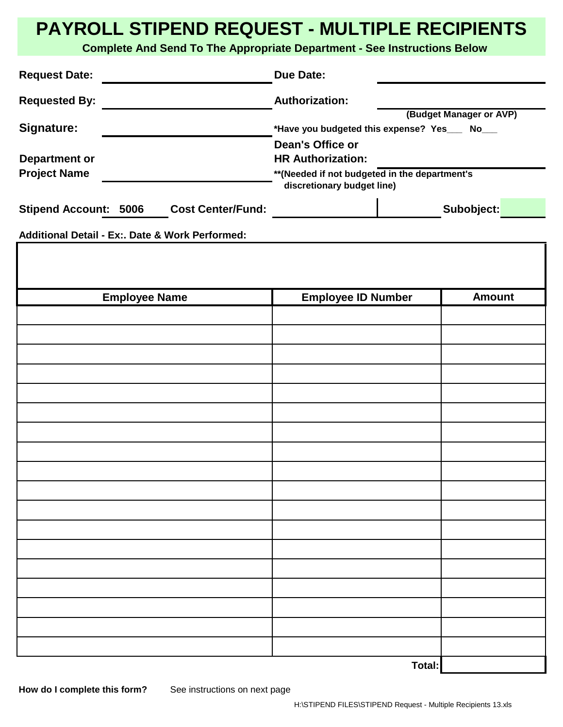## **PAYROLL STIPEND REQUEST - MULTIPLE RECIPIENTS**

**Complete And Send To The Appropriate Department - See Instructions Below**

| <b>Request Date:</b>                                      | <b>Due Date:</b>                                                                                                                                                                                         |               |
|-----------------------------------------------------------|----------------------------------------------------------------------------------------------------------------------------------------------------------------------------------------------------------|---------------|
| <b>Requested By:</b>                                      | <b>Authorization:</b>                                                                                                                                                                                    |               |
| Signature:<br><b>Department or</b><br><b>Project Name</b> | (Budget Manager or AVP)<br>*Have you budgeted this expense? Yes___ No___<br>Dean's Office or<br><b>HR Authorization:</b><br>** (Needed if not budgeted in the department's<br>discretionary budget line) |               |
| Stipend Account: 5006 Cost Center/Fund:                   |                                                                                                                                                                                                          | Subobject:    |
| Additional Detail - Ex:. Date & Work Performed:           |                                                                                                                                                                                                          |               |
|                                                           |                                                                                                                                                                                                          |               |
| <b>Employee Name</b>                                      | <b>Employee ID Number</b>                                                                                                                                                                                | <b>Amount</b> |
|                                                           |                                                                                                                                                                                                          |               |
|                                                           |                                                                                                                                                                                                          |               |
|                                                           |                                                                                                                                                                                                          |               |
|                                                           |                                                                                                                                                                                                          |               |
|                                                           |                                                                                                                                                                                                          |               |
|                                                           |                                                                                                                                                                                                          |               |
|                                                           |                                                                                                                                                                                                          |               |
|                                                           |                                                                                                                                                                                                          |               |
|                                                           |                                                                                                                                                                                                          |               |
|                                                           |                                                                                                                                                                                                          |               |
|                                                           |                                                                                                                                                                                                          |               |
|                                                           |                                                                                                                                                                                                          |               |
|                                                           |                                                                                                                                                                                                          |               |
|                                                           |                                                                                                                                                                                                          |               |
|                                                           |                                                                                                                                                                                                          |               |
|                                                           |                                                                                                                                                                                                          |               |
|                                                           |                                                                                                                                                                                                          |               |
|                                                           |                                                                                                                                                                                                          |               |
|                                                           | Total:                                                                                                                                                                                                   |               |